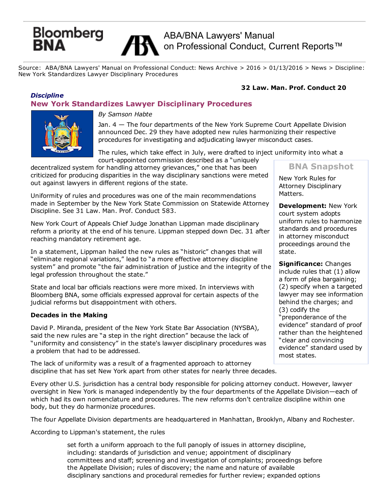# Bloomberg<br>**RNA**

# ABA/BNA Lawyers' Manual on Professional Conduct, Current Reports<sup>™</sup>

Source: ABA/BNA Lawyers' Manual on Professional Conduct: News Archive > 2016 > 01/13/2016 > News > Discipline: New York Standardizes Lawyer Disciplinary Procedures

# 32 Law. Man. Prof. Conduct 20

# *Discipline* New York Standardizes Lawyer Disciplinary Procedures



*By Samson Habte*

Jan. 4 — The four departments of the New York Supreme Court Appellate Division announced Dec. 29 they have adopted new rules harmonizing their respective procedures for investigating and adjudicating lawyer misconduct cases.

The rules, which take effect in July, were drafted to inject uniformity into what a court-appointed commission described as a "uniquely

decentralized system for handling attorney grievances," one that has been criticized for producing disparities in the way disciplinary sanctions were meted out against lawyers in different regions of the state.

Uniformity of rules and procedures was one of the main recommendations made in September by the New York State Commission on Statewide Attorney Discipline. See 31 Law. Man. Prof. Conduct 583.

New York Court of Appeals Chief Judge Jonathan Lippman made disciplinary reform a priority at the end of his tenure. Lippman stepped down Dec. 31 after reaching mandatory retirement age.

In a statement, Lippman hailed the new rules as "historic" changes that will "eliminate regional variations," lead to "a more effective attorney discipline system" and promote "the fair administration of justice and the integrity of the legal profession throughout the state."

State and local bar officials reactions were more mixed. In interviews with Bloomberg BNA, some officials expressed approval for certain aspects of the judicial reforms but disappointment with others.

# Decades in the Making

David P. Miranda, president of the New York State Bar Association (NYSBA), said the new rules are "a step in the right direction" because the lack of "uniformity and consistency" in the state's lawyer disciplinary procedures was a problem that had to be addressed.

The lack of uniformity was a result of a fragmented approach to attorney discipline that has set New York apart from other states for nearly three decades.

Every other U.S. jurisdiction has a central body responsible for policing attorney conduct. However, lawyer oversight in New York is managed independently by the four departments of the Appellate Division—each of which had its own nomenclature and procedures. The new reforms don't centralize discipline within one body, but they do harmonize procedures.

The four Appellate Division departments are headquartered in Manhattan, Brooklyn, Albany and Rochester.

According to Lippman's statement, the rules

set forth a uniform approach to the full panoply of issues in attorney discipline, including: standards of jurisdiction and venue; appointment of disciplinary committees and staff; screening and investigation of complaints; proceedings before the Appellate Division; rules of discovery; the name and nature of available disciplinary sanctions and procedural remedies for further review; expanded options

BNA Snapshot

New York Rules for Attorney Disciplinary Matters.

Development: New York court system adopts uniform rules to harmonize standards and procedures in attorney misconduct proceedings around the state.

Significance: Changes include rules that (1) allow a form of plea bargaining; (2) specify when a targeted lawyer may see information behind the charges; and (3) codify the "preponderance of the evidence" standard of proof rather than the heightened "clear and convincing evidence" standard used by most states.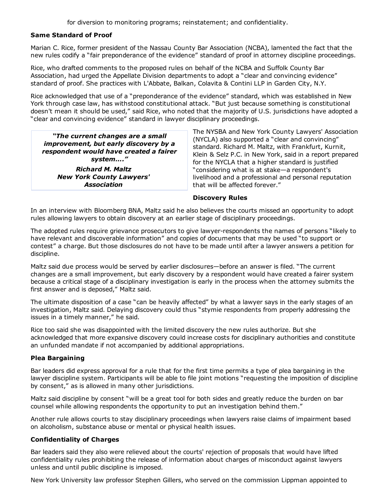for diversion to monitoring programs; reinstatement; and confidentiality.

# Same Standard of Proof

Marian C. Rice, former president of the Nassau County Bar Association (NCBA), lamented the fact that the new rules codify a "fair preponderance of the evidence" standard of proof in attorney discipline proceedings.

Rice, who drafted comments to the proposed rules on behalf of the NCBA and Suffolk County Bar Association, had urged the Appellate Division departments to adopt a "clear and convincing evidence" standard of proof. She practices with L'Abbate, Balkan, Colavita & Contini LLP in Garden City, N.Y.

Rice acknowledged that use of a "preponderance of the evidence" standard, which was established in New York through case law, has withstood constitutional attack. "But just because something is constitutional doesn't mean it should be used," said Rice, who noted that the majority of U.S. jurisdictions have adopted a "clear and convincing evidence" standard in lawyer disciplinary proceedings.

*"The current changes are a small improvement, but early discovery by a respondent would have created a fairer system…." Richard M. Maltz New York County Lawyers' Association*

The NYSBA and New York County Lawyers' Association (NYCLA) also supported a "clear and convincing" standard. Richard M. Maltz, with Frankfurt, Kurnit, Klein & Selz P.C. in New York, said in a report prepared for the NYCLA that a higher standard is justified "considering what is at stake—a respondent's livelihood and a professional and personal reputation that will be affected forever."

#### Discovery Rules

In an interview with Bloomberg BNA, Maltz said he also believes the courts missed an opportunity to adopt rules allowing lawyers to obtain discovery at an earlier stage of disciplinary proceedings.

The adopted rules require grievance prosecutors to give lawyer-respondents the names of persons "likely to have relevant and discoverable information" and copies of documents that may be used "to support or contest" a charge. But those disclosures do not have to be made until after a lawyer answers a petition for discipline.

Maltz said due process would be served by earlier disclosures—before an answer is filed. "The current changes are a small improvement, but early discovery by a respondent would have created a fairer system because a critical stage of a disciplinary investigation is early in the process when the attorney submits the first answer and is deposed," Maltz said.

The ultimate disposition of a case "can be heavily affected" by what a lawyer says in the early stages of an investigation, Maltz said. Delaying discovery could thus "stymie respondents from properly addressing the issues in a timely manner," he said.

Rice too said she was disappointed with the limited discovery the new rules authorize. But she acknowledged that more expansive discovery could increase costs for disciplinary authorities and constitute an unfunded mandate if not accompanied by additional appropriations.

# Plea Bargaining

Bar leaders did express approval for a rule that for the first time permits a type of plea bargaining in the lawyer discipline system. Participants will be able to file joint motions "requesting the imposition of discipline by consent," as is allowed in many other jurisdictions.

Maltz said discipline by consent "will be a great tool for both sides and greatly reduce the burden on bar counsel while allowing respondents the opportunity to put an investigation behind them."

Another rule allows courts to stay disciplinary proceedings when lawyers raise claims of impairment based on alcoholism, substance abuse or mental or physical health issues.

#### Confidentiality of Charges

Bar leaders said they also were relieved about the courts' rejection of proposals that would have lifted confidentiality rules prohibiting the release of information about charges of misconduct against lawyers unless and until public discipline is imposed.

New York University law professor Stephen Gillers, who served on the commission Lippman appointed to